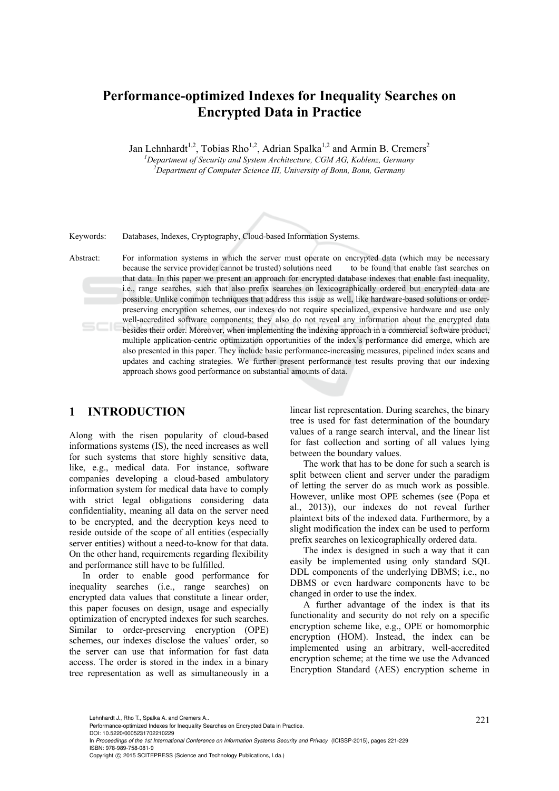## **Performance-optimized Indexes for Inequality Searches on Encrypted Data in Practice**

Jan Lehnhardt<sup>1,2</sup>, Tobias Rho<sup>1,2</sup>, Adrian Spalka<sup>1,2</sup> and Armin B. Cremers<sup>2</sup>

*1 Department of Security and System Architecture, CGM AG, Koblenz, Germany 2 Department of Computer Science III, University of Bonn, Bonn, Germany* 

Keywords: Databases, Indexes, Cryptography, Cloud-based Information Systems.

Abstract: For information systems in which the server must operate on encrypted data (which may be necessary because the service provider cannot be trusted) solutions need to be found that enable fast searches on that data. In this paper we present an approach for encrypted database indexes that enable fast inequality, i.e., range searches, such that also prefix searches on lexicographically ordered but encrypted data are possible. Unlike common techniques that address this issue as well, like hardware-based solutions or orderpreserving encryption schemes, our indexes do not require specialized, expensive hardware and use only well-accredited software components; they also do not reveal any information about the encrypted data besides their order. Moreover, when implementing the indexing approach in a commercial software product, multiple application-centric optimization opportunities of the index's performance did emerge, which are also presented in this paper. They include basic performance-increasing measures, pipelined index scans and updates and caching strategies. We further present performance test results proving that our indexing approach shows good performance on substantial amounts of data.

## **1 INTRODUCTION**

Along with the risen popularity of cloud-based informations systems (IS), the need increases as well for such systems that store highly sensitive data, like, e.g., medical data. For instance, software companies developing a cloud-based ambulatory information system for medical data have to comply with strict legal obligations considering data confidentiality, meaning all data on the server need to be encrypted, and the decryption keys need to reside outside of the scope of all entities (especially server entities) without a need-to-know for that data. On the other hand, requirements regarding flexibility and performance still have to be fulfilled.

In order to enable good performance for inequality searches (i.e., range searches) on encrypted data values that constitute a linear order, this paper focuses on design, usage and especially optimization of encrypted indexes for such searches. Similar to order-preserving encryption (OPE) schemes, our indexes disclose the values' order, so the server can use that information for fast data access. The order is stored in the index in a binary tree representation as well as simultaneously in a linear list representation. During searches, the binary tree is used for fast determination of the boundary values of a range search interval, and the linear list for fast collection and sorting of all values lying between the boundary values.

The work that has to be done for such a search is split between client and server under the paradigm of letting the server do as much work as possible. However, unlike most OPE schemes (see (Popa et al., 2013)), our indexes do not reveal further plaintext bits of the indexed data. Furthermore, by a slight modification the index can be used to perform prefix searches on lexicographically ordered data.

The index is designed in such a way that it can easily be implemented using only standard SQL DDL components of the underlying DBMS; i.e., no DBMS or even hardware components have to be changed in order to use the index.

A further advantage of the index is that its functionality and security do not rely on a specific encryption scheme like, e.g., OPE or homomorphic encryption (HOM). Instead, the index can be implemented using an arbitrary, well-accredited encryption scheme; at the time we use the Advanced Encryption Standard (AES) encryption scheme in

DOI: 10.5220/0005231702210229

<sup>221</sup> Lehnhardt J., Rho T., Spalka A. and Cremers A.. Performance-optimized Indexes for Inequality Searches on Encrypted Data in Practice.

In *Proceedings of the 1st International Conference on Information Systems Security and Privacy* (ICISSP-2015), pages 221-229 ISBN: 978-989-758-081-9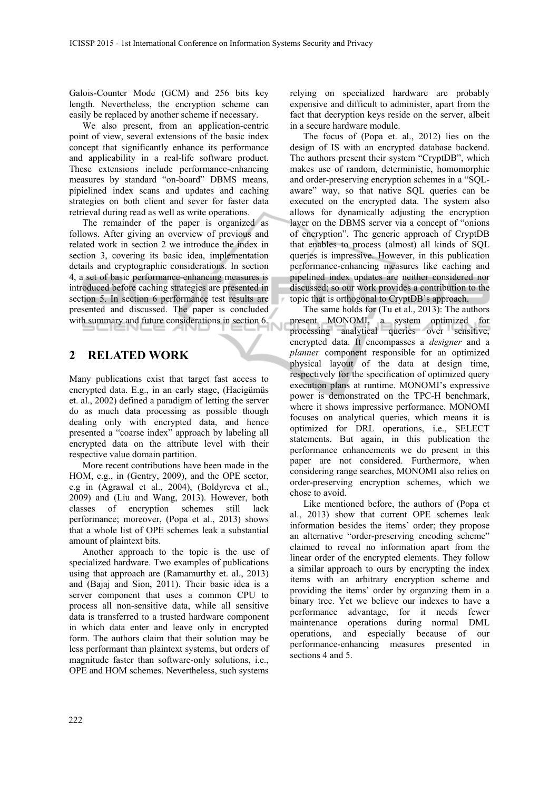Galois-Counter Mode (GCM) and 256 bits key length. Nevertheless, the encryption scheme can easily be replaced by another scheme if necessary.

We also present, from an application-centric point of view, several extensions of the basic index concept that significantly enhance its performance and applicability in a real-life software product. These extensions include performance-enhancing measures by standard "on-board" DBMS means, pipielined index scans and updates and caching strategies on both client and sever for faster data retrieval during read as well as write operations.

The remainder of the paper is organized as follows. After giving an overview of previous and related work in section 2 we introduce the index in section 3, covering its basic idea, implementation details and cryptographic considerations. In section 4, a set of basic performance-enhancing measures is introduced before caching strategies are presented in section 5. In section 6 performance test results are presented and discussed. The paper is concluded with summary and future considerations in section 6.

## **2 RELATED WORK**

Many publications exist that target fast access to encrypted data. E.g., in an early stage, (Hacigümüs et. al., 2002) defined a paradigm of letting the server do as much data processing as possible though dealing only with encrypted data, and hence presented a "coarse index" approach by labeling all encrypted data on the attribute level with their respective value domain partition.

More recent contributions have been made in the HOM, e.g., in (Gentry, 2009), and the OPE sector, e.g in (Agrawal et al., 2004), (Boldyreva et al., 2009) and (Liu and Wang, 2013). However, both classes of encryption schemes still lack performance; moreover, (Popa et al., 2013) shows that a whole list of OPE schemes leak a substantial amount of plaintext bits.

Another approach to the topic is the use of specialized hardware. Two examples of publications using that approach are (Ramamurthy et. al., 2013) and (Bajaj and Sion, 2011). Their basic idea is a server component that uses a common CPU to process all non-sensitive data, while all sensitive data is transferred to a trusted hardware component in which data enter and leave only in encrypted form. The authors claim that their solution may be less performant than plaintext systems, but orders of magnitude faster than software-only solutions, i.e., OPE and HOM schemes. Nevertheless, such systems

relying on specialized hardware are probably expensive and difficult to administer, apart from the fact that decryption keys reside on the server, albeit in a secure hardware module.

The focus of (Popa et. al., 2012) lies on the design of IS with an encrypted database backend. The authors present their system "CryptDB", which makes use of random, deterministic, homomorphic and order-preserving encryption schemes in a "SQLaware" way, so that native SQL queries can be executed on the encrypted data. The system also allows for dynamically adjusting the encryption layer on the DBMS server via a concept of "onions of encryption". The generic approach of CryptDB that enables to process (almost) all kinds of SQL queries is impressive. However, in this publication performance-enhancing measures like caching and pipelined index updates are neither considered nor discussed; so our work provides a contribution to the topic that is orthogonal to CryptDB's approach.

The same holds for (Tu et al., 2013): The authors present MONOMI, a system optimized for processing analytical queries over sensitive, encrypted data. It encompasses a *designer* and a *planner* component responsible for an optimized physical layout of the data at design time, respectively for the specification of optimized query execution plans at runtime. MONOMI's expressive power is demonstrated on the TPC-H benchmark, where it shows impressive performance. MONOMI focuses on analytical queries, which means it is optimized for DRL operations, i.e., SELECT statements. But again, in this publication the performance enhancements we do present in this paper are not considered. Furthermore, when considering range searches, MONOMI also relies on order-preserving encryption schemes, which we chose to avoid.

Like mentioned before, the authors of (Popa et al., 2013) show that current OPE schemes leak information besides the items' order; they propose an alternative "order-preserving encoding scheme" claimed to reveal no information apart from the linear order of the encrypted elements. They follow a similar approach to ours by encrypting the index items with an arbitrary encryption scheme and providing the items' order by organzing them in a binary tree. Yet we believe our indexes to have a performance advantage, for it needs fewer maintenance operations during normal DML operations, and especially because of our performance-enhancing measures presented in sections 4 and 5.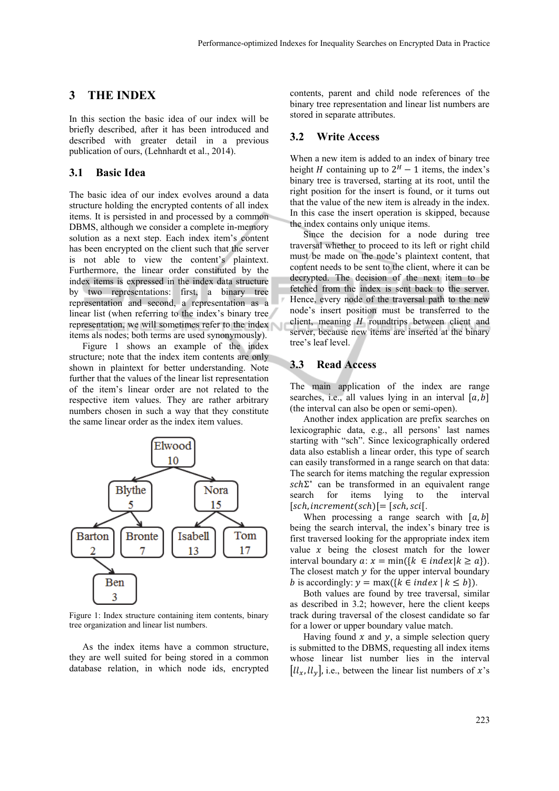## **3 THE INDEX**

In this section the basic idea of our index will be briefly described, after it has been introduced and described with greater detail in a previous publication of ours, (Lehnhardt et al., 2014).

### **3.1 Basic Idea**

The basic idea of our index evolves around a data structure holding the encrypted contents of all index items. It is persisted in and processed by a common DBMS, although we consider a complete in-memory solution as a next step. Each index item's content has been encrypted on the client such that the server is not able to view the content's plaintext. Furthermore, the linear order constituted by the index items is expressed in the index data structure by two representations: first, a binary tree representation and second, a representation as a linear list (when referring to the index's binary tree representation, we will sometimes refer to the index items als nodes; both terms are used synonymously).

Figure 1 shows an example of the index structure; note that the index item contents are only shown in plaintext for better understanding. Note further that the values of the linear list representation of the item's linear order are not related to the respective item values. They are rather arbitrary numbers chosen in such a way that they constitute the same linear order as the index item values.



Figure 1: Index structure containing item contents, binary tree organization and linear list numbers.

As the index items have a common structure, they are well suited for being stored in a common database relation, in which node ids, encrypted

contents, parent and child node references of the binary tree representation and linear list numbers are stored in separate attributes.

#### **3.2 Write Access**

When a new item is added to an index of binary tree height *H* containing up to  $2^H - 1$  items, the index's binary tree is traversed, starting at its root, until the right position for the insert is found, or it turns out that the value of the new item is already in the index. In this case the insert operation is skipped, because the index contains only unique items.

Since the decision for a node during tree traversal whether to proceed to its left or right child must be made on the node's plaintext content, that content needs to be sent to the client, where it can be decrypted. The decision of the next item to be fetched from the index is sent back to the server. Hence, every node of the traversal path to the new node's insert position must be transferred to the client, meaning  $H$  roundtrips between client and server, because new items are inserted at the binary tree's leaf level.

## **3.3 Read Access**

The main application of the index are range searches, i.e., all values lying in an interval  $[a, b]$ (the interval can also be open or semi-open).

Another index application are prefix searches on lexicographic data, e.g., all persons' last names starting with "sch". Since lexicographically ordered data also establish a linear order, this type of search can easily transformed in a range search on that data: The search for items matching the regular expression  $sch\Sigma^*$  can be transformed in an equivalent range search for items lying to the interval  $[sch, increment(sch)$  $= [sch, sci]$ 

When processing a range search with  $[a, b]$ being the search interval, the index's binary tree is first traversed looking for the appropriate index item value  $x$  being the closest match for the lower interval boundary  $a: x = min({k \in index | k \ge a}).$ The closest match  $\nu$  for the upper interval boundary *b* is accordingly:  $y = \max({k \in index | k \leq b})$ .

Both values are found by tree traversal, similar as described in 3.2; however, here the client keeps track during traversal of the closest candidate so far for a lower or upper boundary value match.

Having found  $x$  and  $y$ , a simple selection query is submitted to the DBMS, requesting all index items whose linear list number lies in the interval  $\left[\mathcal{U}_x, \mathcal{U}_y\right]$ , i.e., between the linear list numbers of x's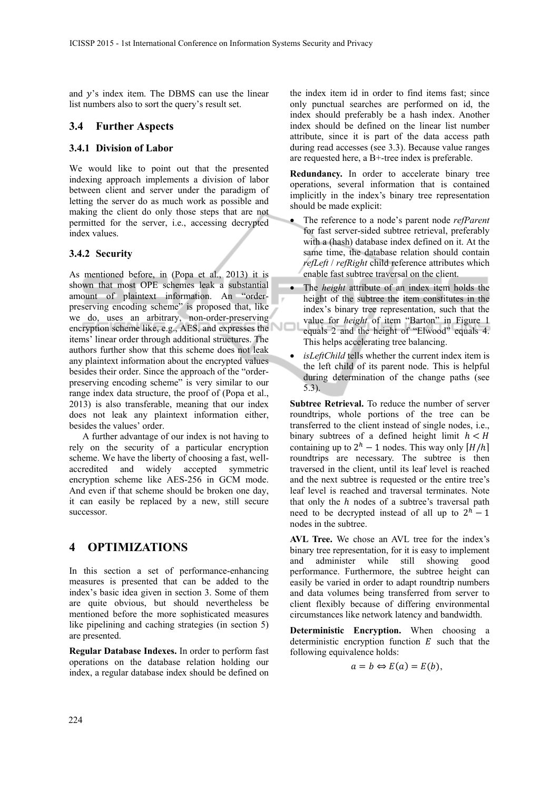and  $y$ 's index item. The DBMS can use the linear list numbers also to sort the query's result set.

## **3.4 Further Aspects**

#### **3.4.1 Division of Labor**

We would like to point out that the presented indexing approach implements a division of labor between client and server under the paradigm of letting the server do as much work as possible and making the client do only those steps that are not permitted for the server, i.e., accessing decrypted index values.

### **3.4.2 Security**

As mentioned before, in (Popa et al., 2013) it is shown that most OPE schemes leak a substantial amount of plaintext information. An "orderpreserving encoding scheme" is proposed that, like we do, uses an arbitrary, non-order-preserving encryption scheme like, e.g., AES, and expresses the items' linear order through additional structures. The authors further show that this scheme does not leak any plaintext information about the encrypted values besides their order. Since the approach of the "orderpreserving encoding scheme" is very similar to our range index data structure, the proof of (Popa et al., 2013) is also transferable, meaning that our index does not leak any plaintext information either, besides the values' order.

A further advantage of our index is not having to rely on the security of a particular encryption scheme. We have the liberty of choosing a fast, wellaccredited and widely accepted symmetric encryption scheme like AES-256 in GCM mode. And even if that scheme should be broken one day, it can easily be replaced by a new, still secure successor.

## **4 OPTIMIZATIONS**

In this section a set of performance-enhancing measures is presented that can be added to the index's basic idea given in section 3. Some of them are quite obvious, but should nevertheless be mentioned before the more sophisticated measures like pipelining and caching strategies (in section 5) are presented.

**Regular Database Indexes.** In order to perform fast operations on the database relation holding our index, a regular database index should be defined on

the index item id in order to find items fast; since only punctual searches are performed on id, the index should preferably be a hash index. Another index should be defined on the linear list number attribute, since it is part of the data access path during read accesses (see 3.3). Because value ranges are requested here, a B+-tree index is preferable.

**Redundancy.** In order to accelerate binary tree operations, several information that is contained implicitly in the index's binary tree representation should be made explicit:

- The reference to a node's parent node *refParent* for fast server-sided subtree retrieval, preferably with a (hash) database index defined on it. At the same time, the database relation should contain *refLeft* / *refRight* child reference attributes which enable fast subtree traversal on the client.
- The *height* attribute of an index item holds the height of the subtree the item constitutes in the index's binary tree representation, such that the value for *height* of item "Barton" in Figure 1 equals 2 and the height of "Elwood" equals 4. This helps accelerating tree balancing.
- *isLeftChild* tells whether the current index item is the left child of its parent node. This is helpful during determination of the change paths (see 5.3).

**Subtree Retrieval.** To reduce the number of server roundtrips, whole portions of the tree can be transferred to the client instead of single nodes, i.e., binary subtrees of a defined height limit  $h < H$ containing up to  $2^h - 1$  nodes. This way only  $[H/h]$ roundtrips are necessary. The subtree is then traversed in the client, until its leaf level is reached and the next subtree is requested or the entire tree's leaf level is reached and traversal terminates. Note that only the  $h$  nodes of a subtree's traversal path need to be decrypted instead of all up to  $2<sup>h</sup> - 1$ nodes in the subtree.

**AVL Tree.** We chose an AVL tree for the index's binary tree representation, for it is easy to implement and administer while still showing good performance. Furthermore, the subtree height can easily be varied in order to adapt roundtrip numbers and data volumes being transferred from server to client flexibly because of differing environmental circumstances like network latency and bandwidth.

**Deterministic Encryption.** When choosing a deterministic encryption function  $E$  such that the following equivalence holds:

$$
a=b \Leftrightarrow E(a)=E(b),
$$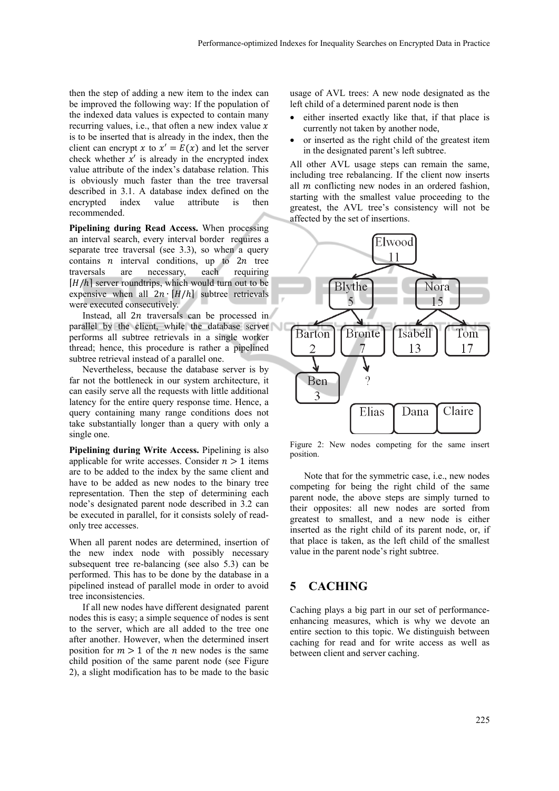then the step of adding a new item to the index can be improved the following way: If the population of the indexed data values is expected to contain many recurring values, i.e., that often a new index value  $x$ is to be inserted that is already in the index, then the client can encrypt x to  $x' = E(x)$  and let the server check whether  $x'$  is already in the encrypted index value attribute of the index's database relation. This is obviously much faster than the tree traversal described in 3.1. A database index defined on the encrypted index value attribute is then recommended.

**Pipelining during Read Access.** When processing an interval search, every interval border requires a separate tree traversal (see 3.3), so when a query contains  $n$  interval conditions, up to  $2n$  tree traversals are necessary, each requiring  $[H/h]$  server roundtrips, which would turn out to be expensive when all  $2n \cdot [H/h]$  subtree retrievals were executed consecutively.

Instead, all  $2n$  traversals can be processed in parallel by the client, while the database server performs all subtree retrievals in a single worker thread; hence, this procedure is rather a pipelined subtree retrieval instead of a parallel one.

Nevertheless, because the database server is by far not the bottleneck in our system architecture, it can easily serve all the requests with little additional latency for the entire query response time. Hence, a query containing many range conditions does not take substantially longer than a query with only a single one.

**Pipelining during Write Access.** Pipelining is also applicable for write accesses. Consider  $n > 1$  items are to be added to the index by the same client and have to be added as new nodes to the binary tree representation. Then the step of determining each node's designated parent node described in 3.2 can be executed in parallel, for it consists solely of readonly tree accesses.

When all parent nodes are determined, insertion of the new index node with possibly necessary subsequent tree re-balancing (see also 5.3) can be performed. This has to be done by the database in a pipelined instead of parallel mode in order to avoid tree inconsistencies.

If all new nodes have different designated parent nodes this is easy; a simple sequence of nodes is sent to the server, which are all added to the tree one after another. However, when the determined insert position for  $m > 1$  of the *n* new nodes is the same child position of the same parent node (see Figure 2), a slight modification has to be made to the basic

usage of AVL trees: A new node designated as the left child of a determined parent node is then

- either inserted exactly like that, if that place is currently not taken by another node,
- or inserted as the right child of the greatest item in the designated parent's left subtree.

All other AVL usage steps can remain the same, including tree rebalancing. If the client now inserts all  *conflicting new nodes in an ordered fashion,* starting with the smallest value proceeding to the greatest, the AVL tree's consistency will not be affected by the set of insertions.



Figure 2: New nodes competing for the same insert position.

Note that for the symmetric case, i.e., new nodes competing for being the right child of the same parent node, the above steps are simply turned to their opposites: all new nodes are sorted from greatest to smallest, and a new node is either inserted as the right child of its parent node, or, if that place is taken, as the left child of the smallest value in the parent node's right subtree.

## **5 CACHING**

Caching plays a big part in our set of performanceenhancing measures, which is why we devote an entire section to this topic. We distinguish between caching for read and for write access as well as between client and server caching.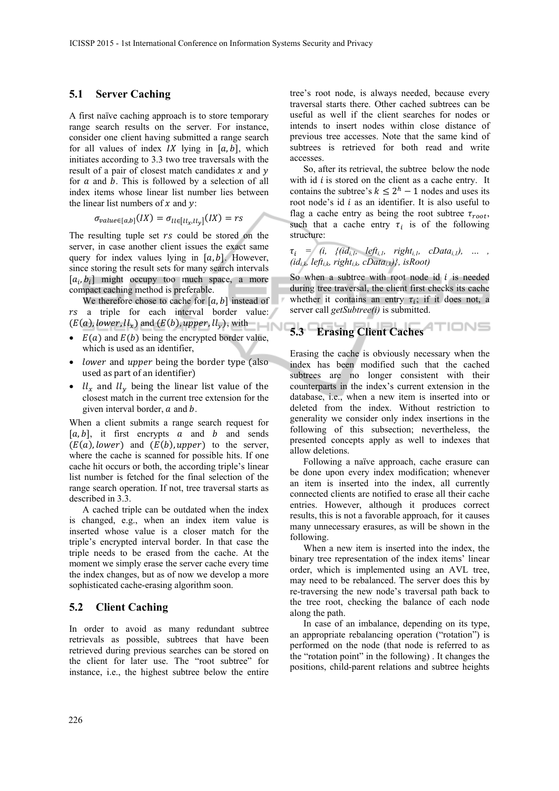#### **5.1 Server Caching**

A first naïve caching approach is to store temporary range search results on the server. For instance, consider one client having submitted a range search for all values of index  $IX$  lying in  $[a, b]$ , which initiates according to 3.3 two tree traversals with the result of a pair of closest match candidates  $x$  and  $y$ for  $a$  and  $b$ . This is followed by a selection of all index items whose linear list number lies between the linear list numbers of  $x$  and  $y$ :

$$
\sigma_{value \in [a,b]}(IX) = \sigma_{l \in [l \mid x, l \mid y]}(IX) = rs
$$

The resulting tuple set  $rs$  could be stored on the server, in case another client issues the exact same query for index values lying in  $[a, b]$ . However, since storing the result sets for many search intervals  $[a_i, b_i]$  might occupy too much space, a more compact caching method is preferable.

We therefore chose to cache for  $[a, b]$  instead of  $rs$  a triple for each interval border value:  $(E(a), lower, ll_x)$  and  $(E(b), upper, ll_y)$ , with

- $E(a)$  and  $E(b)$  being the encrypted border value, which is used as an identifier,
- lower and upper being the border type (also used as part of an identifier)
- $ll_x$  and  $ll_y$  being the linear list value of the closest match in the current tree extension for the given interval border,  $\alpha$  and  $\beta$ .

When a client submits a range search request for  $[a, b]$ , it first encrypts  $a$  and  $b$  and sends  $(E(a), lower)$  and  $(E(b), upper)$  to the server, where the cache is scanned for possible hits. If one cache hit occurs or both, the according triple's linear list number is fetched for the final selection of the range search operation. If not, tree traversal starts as described in 3.3.

A cached triple can be outdated when the index is changed, e.g., when an index item value is inserted whose value is a closer match for the triple's encrypted interval border. In that case the triple needs to be erased from the cache. At the moment we simply erase the server cache every time the index changes, but as of now we develop a more sophisticated cache-erasing algorithm soon.

#### **5.2 Client Caching**

In order to avoid as many redundant subtree retrievals as possible, subtrees that have been retrieved during previous searches can be stored on the client for later use. The "root subtree" for instance, i.e., the highest subtree below the entire

tree's root node, is always needed, because every traversal starts there. Other cached subtrees can be useful as well if the client searches for nodes or intends to insert nodes within close distance of previous tree accesses. Note that the same kind of subtrees is retrieved for both read and write accesses.

So, after its retrieval, the subtree below the node with id  $i$  is stored on the client as a cache entry. It contains the subtree's  $k \leq 2<sup>h</sup> - 1$  nodes and uses its root node's id  $i$  as an identifier. It is also useful to flag a cache entry as being the root subtree  $\tau_{root}$ , such that a cache entry  $\tau_i$  is of the following structure:

 $\tau_i = (i, \{(id_{i,l}, \{left, \phi_i\right), \ldots, \phi_i\}_{i,l}, \phi_i\}_{i \in [l], j \in [l], m \in [l], m \in [l], m \in [l], m \in [l], m \in [l], m \in [l], m \in [l], m \in [l], m \in [l], m \in [l], m \in [l], m \in [l], m \in [l], m \in [l], m \in [l], m \in [l], m \in [l], m \in [l], m \in [l], m \in [l], m \in [l], m \in [l], m \in [l], m \in [l], m \in [l], m \in [l], m \in [l], m \in [l$  $(id_{i,k}, left_{i,k}, right_{i,k}, cData_{i,k})$ , isRoot)

So when a subtree with root node id  $i$  is needed during tree traversal, the client first checks its cache whether it contains an entry  $\tau_i$ ; if it does not, a server call *getSubtree(i)* is submitted.

# **5.3 Erasing Client Caches**

Erasing the cache is obviously necessary when the index has been modified such that the cached subtrees are no longer consistent with their counterparts in the index's current extension in the database, i.e., when a new item is inserted into or deleted from the index. Without restriction to generality we consider only index insertions in the following of this subsection; nevertheless, the presented concepts apply as well to indexes that allow deletions.

Following a naïve approach, cache erasure can be done upon every index modification; whenever an item is inserted into the index, all currently connected clients are notified to erase all their cache entries. However, although it produces correct results, this is not a favorable approach, for it causes many unnecessary erasures, as will be shown in the following.

When a new item is inserted into the index, the binary tree representation of the index items' linear order, which is implemented using an AVL tree, may need to be rebalanced. The server does this by re-traversing the new node's traversal path back to the tree root, checking the balance of each node along the path.

In case of an imbalance, depending on its type, an appropriate rebalancing operation ("rotation") is performed on the node (that node is referred to as the "rotation point" in the following) . It changes the positions, child-parent relations and subtree heights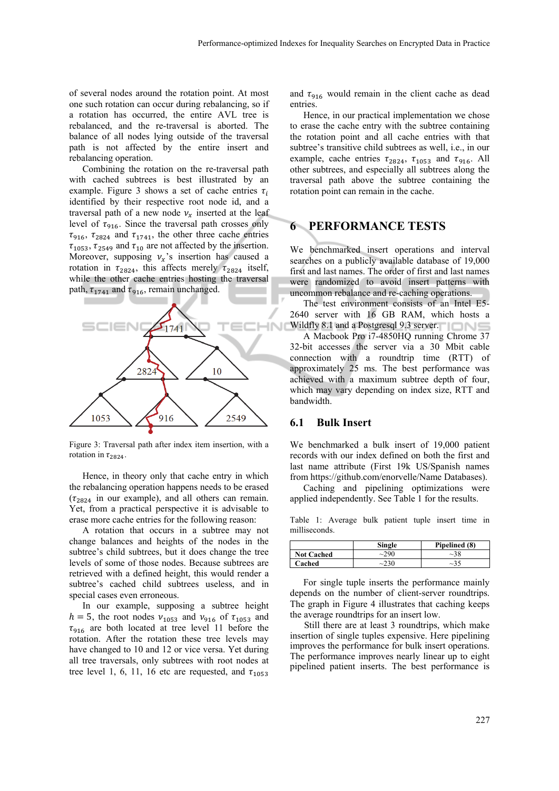of several nodes around the rotation point. At most one such rotation can occur during rebalancing, so if a rotation has occurred, the entire AVL tree is rebalanced, and the re-traversal is aborted. The balance of all nodes lying outside of the traversal path is not affected by the entire insert and rebalancing operation.

Combining the rotation on the re-traversal path with cached subtrees is best illustrated by an example. Figure 3 shows a set of cache entries  $\tau_i$ identified by their respective root node id, and a traversal path of a new node  $v_r$  inserted at the leaf level of  $\tau_{916}$ . Since the traversal path crosses only  $\tau_{916}$ ,  $\tau_{2824}$  and  $\tau_{1741}$ , the other three cache entries  $\tau_{1053}$ ,  $\tau_{2549}$  and  $\tau_{10}$  are not affected by the insertion. Moreover, supposing  $v_x$ 's insertion has caused a rotation in  $\tau_{2824}$ , this affects merely  $\tau_{2824}$  itself, while the other cache entries hosting the traversal path,  $\tau_{1741}$  and  $\tau_{916}$ , remain unchanged.



Figure 3: Traversal path after index item insertion, with a rotation in  $\tau_{2824}$ .

Hence, in theory only that cache entry in which the rebalancing operation happens needs to be erased  $(\tau_{2824}$  in our example), and all others can remain. Yet, from a practical perspective it is advisable to erase more cache entries for the following reason:

A rotation that occurs in a subtree may not change balances and heights of the nodes in the subtree's child subtrees, but it does change the tree levels of some of those nodes. Because subtrees are retrieved with a defined height, this would render a subtree's cached child subtrees useless, and in special cases even erroneous.

In our example, supposing a subtree height  $h = 5$ , the root nodes  $v_{1053}$  and  $v_{916}$  of  $\tau_{1053}$  and  $\tau_{916}$  are both located at tree level 11 before the rotation. After the rotation these tree levels may have changed to 10 and 12 or vice versa. Yet during all tree traversals, only subtrees with root nodes at tree level 1, 6, 11, 16 etc are requested, and  $\tau_{1053}$ 

and  $\tau_{916}$  would remain in the client cache as dead entries.

Hence, in our practical implementation we chose to erase the cache entry with the subtree containing the rotation point and all cache entries with that subtree's transitive child subtrees as well, i.e., in our example, cache entries  $\tau_{2824}$ ,  $\tau_{1053}$  and  $\tau_{916}$ . All other subtrees, and especially all subtrees along the traversal path above the subtree containing the rotation point can remain in the cache.

## **6 PERFORMANCE TESTS**

We benchmarked insert operations and interval searches on a publicly available database of 19,000 first and last names. The order of first and last names were randomized to avoid insert patterns with uncommon rebalance and re-caching operations.

The test environment consists of an Intel E5- 2640 server with 16 GB RAM, which hosts a Wildfly 8.1 and a Postgresql 9.3 server.

A Macbook Pro i7-4850HQ running Chrome 37 32-bit accesses the server via a 30 Mbit cable connection with a roundtrip time (RTT) of approximately 25 ms. The best performance was achieved with a maximum subtree depth of four, which may vary depending on index size, RTT and bandwidth.

#### **6.1 Bulk Insert**

We benchmarked a bulk insert of 19,000 patient records with our index defined on both the first and last name attribute (First 19k US/Spanish names from https://github.com/enorvelle/Name Databases).

Caching and pipelining optimizations were applied independently. See Table 1 for the results.

Table 1: Average bulk patient tuple insert time in milliseconds.

|                   | Single | Pipelined (8) |
|-------------------|--------|---------------|
| <b>Not Cached</b> | ~290   | ~28           |
| Cached            | ~230   | $\sim$ 35     |

For single tuple inserts the performance mainly depends on the number of client-server roundtrips. The graph in Figure 4 illustrates that caching keeps the average roundtrips for an insert low.

Still there are at least 3 roundtrips, which make insertion of single tuples expensive. Here pipelining improves the performance for bulk insert operations. The performance improves nearly linear up to eight pipelined patient inserts. The best performance is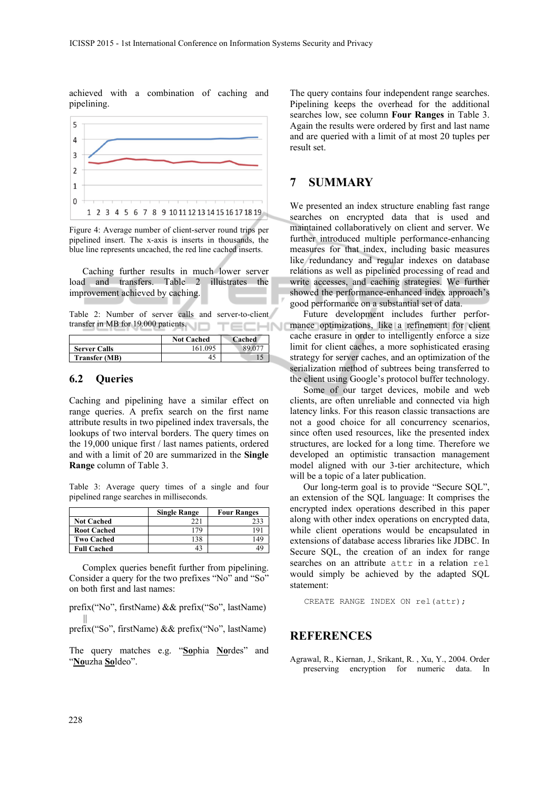achieved with a combination of caching and pipelining.



Figure 4: Average number of client-server round trips per pipelined insert. The x-axis is inserts in thousands, the blue line represents uncached, the red line cached inserts.

Caching further results in much lower server load and transfers. Table 2 illustrates the improvement achieved by caching.

Table 2: Number of server calls and server-to-client transfer in MB for 19.000 patients. ECHNI

|                      | <b>Not Cached</b> | Cached |
|----------------------|-------------------|--------|
| <b>Server Calls</b>  | 161 095           |        |
| <b>Transfer (MB)</b> |                   |        |

#### **6.2 Queries**

Caching and pipelining have a similar effect on range queries. A prefix search on the first name attribute results in two pipelined index traversals, the lookups of two interval borders. The query times on the 19,000 unique first / last names patients, ordered and with a limit of 20 are summarized in the **Single Range** column of Table 3.

Table 3: Average query times of a single and four pipelined range searches in milliseconds.

|                    | <b>Single Range</b> | <b>Four Ranges</b> |
|--------------------|---------------------|--------------------|
| <b>Not Cached</b>  | າາ:                 |                    |
| <b>Root Cached</b> | 79                  |                    |
| <b>Two Cached</b>  | 38                  |                    |
| <b>Full Cached</b> |                     |                    |

Complex queries benefit further from pipelining. Consider a query for the two prefixes "No" and "So" on both first and last names:

prefix("No", firstName) && prefix("So", lastName) ||

prefix("So", firstName) && prefix("No", lastName)

The query matches e.g. "**So**phia **No**rdes" and "**No**uzha **So**ldeo".

The query contains four independent range searches. Pipelining keeps the overhead for the additional searches low, see column **Four Ranges** in Table 3. Again the results were ordered by first and last name and are queried with a limit of at most 20 tuples per result set.

## **7 SUMMARY**

We presented an index structure enabling fast range searches on encrypted data that is used and maintained collaboratively on client and server. We further introduced multiple performance-enhancing measures for that index, including basic measures like redundancy and regular indexes on database relations as well as pipelined processing of read and write accesses, and caching strategies. We further showed the performance-enhanced index approach's good performance on a substantial set of data.

Future development includes further performance optimizations, like a refinement for client cache erasure in order to intelligently enforce a size limit for client caches, a more sophisticated erasing strategy for server caches, and an optimization of the serialization method of subtrees being transferred to the client using Google's protocol buffer technology.

Some of our target devices, mobile and web clients, are often unreliable and connected via high latency links. For this reason classic transactions are not a good choice for all concurrency scenarios, since often used resources, like the presented index structures, are locked for a long time. Therefore we developed an optimistic transaction management model aligned with our 3-tier architecture, which will be a topic of a later publication.

Our long-term goal is to provide "Secure SQL", an extension of the SQL language: It comprises the encrypted index operations described in this paper along with other index operations on encrypted data, while client operations would be encapsulated in extensions of database access libraries like JDBC. In Secure SQL, the creation of an index for range searches on an attribute attr in a relation rel would simply be achieved by the adapted SQL statement:

```
CREATE RANGE INDEX ON rel(attr);
```
## **REFERENCES**

Agrawal, R., Kiernan, J., Srikant, R. , Xu, Y., 2004. Order preserving encryption for numeric data. In